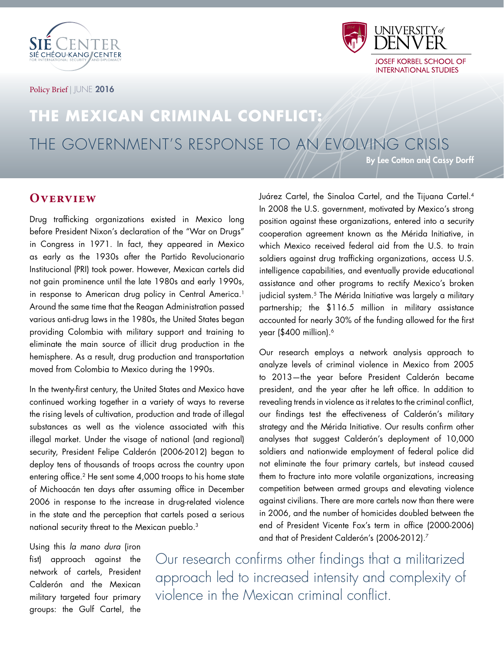

Policy Brief | JUNE 2016



# **THE MEXICAN CRIMINAL CONFLICT:**  THE GOVERNMENT'S RESPONSE TO AN EVOLVING CRISIS

By Lee Cotton and Cassy Dorff

## **Overview**

Drug trafficking organizations existed in Mexico long before President Nixon's declaration of the "War on Drugs" in Congress in 1971. In fact, they appeared in Mexico as early as the 1930s after the Partido Revolucionario Institucional (PRI) took power. However, Mexican cartels did not gain prominence until the late 1980s and early 1990s, in response to American drug policy in Central America.<sup>1</sup> Around the same time that the Reagan Administration passed various anti-drug laws in the 1980s, the United States began providing Colombia with military support and training to eliminate the main source of illicit drug production in the hemisphere. As a result, drug production and transportation moved from Colombia to Mexico during the 1990s.

In the twenty-first century, the United States and Mexico have continued working together in a variety of ways to reverse the rising levels of cultivation, production and trade of illegal substances as well as the violence associated with this illegal market. Under the visage of national (and regional) security, President Felipe Calderón (2006-2012) began to deploy tens of thousands of troops across the country upon entering office.<sup>2</sup> He sent some 4,000 troops to his home state of Michoacán ten days after assuming office in December 2006 in response to the increase in drug-related violence in the state and the perception that cartels posed a serious national security threat to the Mexican pueblo.3

Using this la mano dura (iron fist) approach against the network of cartels, President Calderón and the Mexican military targeted four primary groups: the Gulf Cartel, the

Juárez Cartel, the Sinaloa Cartel, and the Tijuana Cartel.4 In 2008 the U.S. government, motivated by Mexico's strong position against these organizations, entered into a security cooperation agreement known as the Mérida Initiative, in which Mexico received federal aid from the U.S. to train soldiers against drug trafficking organizations, access U.S. intelligence capabilities, and eventually provide educational assistance and other programs to rectify Mexico's broken judicial system.<sup>5</sup> The Mérida Initiative was largely a military partnership; the \$116.5 million in military assistance accounted for nearly 30% of the funding allowed for the first year (\$400 million).<sup>6</sup>

Our research employs a network analysis approach to analyze levels of criminal violence in Mexico from 2005 to 2013—the year before President Calderón became president, and the year after he left office. In addition to revealing trends in violence as it relates to the criminal conflict, our findings test the effectiveness of Calderón's military strategy and the Mérida Initiative. Our results confirm other analyses that suggest Calderón's deployment of 10,000 soldiers and nationwide employment of federal police did not eliminate the four primary cartels, but instead caused them to fracture into more volatile organizations, increasing competition between armed groups and elevating violence against civilians. There are more cartels now than there were in 2006, and the number of homicides doubled between the end of President Vicente Fox's term in office (2000-2006) and that of President Calderón's (2006-2012).7

Our research confirms other findings that a militarized approach led to increased intensity and complexity of violence in the Mexican criminal conflict.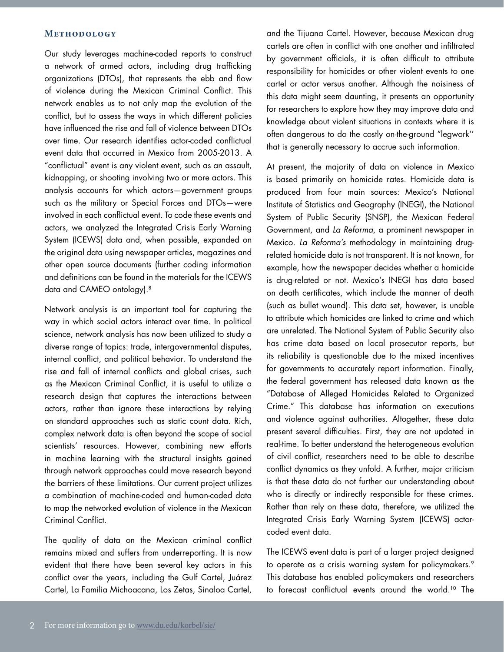#### **Methodology**

Our study leverages machine-coded reports to construct a network of armed actors, including drug trafficking organizations (DTOs), that represents the ebb and flow of violence during the Mexican Criminal Conflict. This network enables us to not only map the evolution of the conflict, but to assess the ways in which different policies have influenced the rise and fall of violence between DTOs over time. Our research identifies actor-coded conflictual event data that occurred in Mexico from 2005-2013. A "conflictual" event is any violent event, such as an assault, kidnapping, or shooting involving two or more actors. This analysis accounts for which actors—government groups such as the military or Special Forces and DTOs—were involved in each conflictual event. To code these events and actors, we analyzed the Integrated Crisis Early Warning System (ICEWS) data and, when possible, expanded on the original data using newspaper articles, magazines and other open source documents (further coding information and definitions can be found in the materials for the ICEWS data and CAMEO ontology).<sup>8</sup>

Network analysis is an important tool for capturing the way in which social actors interact over time. In political science, network analysis has now been utilized to study a diverse range of topics: trade, intergovernmental disputes, internal conflict, and political behavior. To understand the rise and fall of internal conflicts and global crises, such as the Mexican Criminal Conflict, it is useful to utilize a research design that captures the interactions between actors, rather than ignore these interactions by relying on standard approaches such as static count data. Rich, complex network data is often beyond the scope of social scientists' resources. However, combining new efforts in machine learning with the structural insights gained through network approaches could move research beyond the barriers of these limitations. Our current project utilizes a combination of machine-coded and human-coded data to map the networked evolution of violence in the Mexican Criminal Conflict.

The quality of data on the Mexican criminal conflict remains mixed and suffers from underreporting. It is now evident that there have been several key actors in this conflict over the years, including the Gulf Cartel, Juárez Cartel, La Familia Michoacana, Los Zetas, Sinaloa Cartel,

and the Tijuana Cartel. However, because Mexican drug cartels are often in conflict with one another and infiltrated by government officials, it is often difficult to attribute responsibility for homicides or other violent events to one cartel or actor versus another. Although the noisiness of this data might seem daunting, it presents an opportunity for researchers to explore how they may improve data and knowledge about violent situations in contexts where it is often dangerous to do the costly on-the-ground "legwork'' that is generally necessary to accrue such information.

At present, the majority of data on violence in Mexico is based primarily on homicide rates. Homicide data is produced from four main sources: Mexico's National Institute of Statistics and Geography (INEGI), the National System of Public Security (SNSP), the Mexican Federal Government, and La Reforma, a prominent newspaper in Mexico. La Reforma's methodology in maintaining drugrelated homicide data is not transparent. It is not known, for example, how the newspaper decides whether a homicide is drug-related or not. Mexico's INEGI has data based on death certificates, which include the manner of death (such as bullet wound). This data set, however, is unable to attribute which homicides are linked to crime and which are unrelated. The National System of Public Security also has crime data based on local prosecutor reports, but its reliability is questionable due to the mixed incentives for governments to accurately report information. Finally, the federal government has released data known as the "Database of Alleged Homicides Related to Organized Crime." This database has information on executions and violence against authorities. Altogether, these data present several difficulties. First, they are not updated in real-time. To better understand the heterogeneous evolution of civil conflict, researchers need to be able to describe conflict dynamics as they unfold. A further, major criticism is that these data do not further our understanding about who is directly or indirectly responsible for these crimes. Rather than rely on these data, therefore, we utilized the Integrated Crisis Early Warning System (ICEWS) actorcoded event data.

The ICEWS event data is part of a larger project designed to operate as a crisis warning system for policymakers.<sup>9</sup> This database has enabled policymakers and researchers to forecast conflictual events around the world.<sup>10</sup> The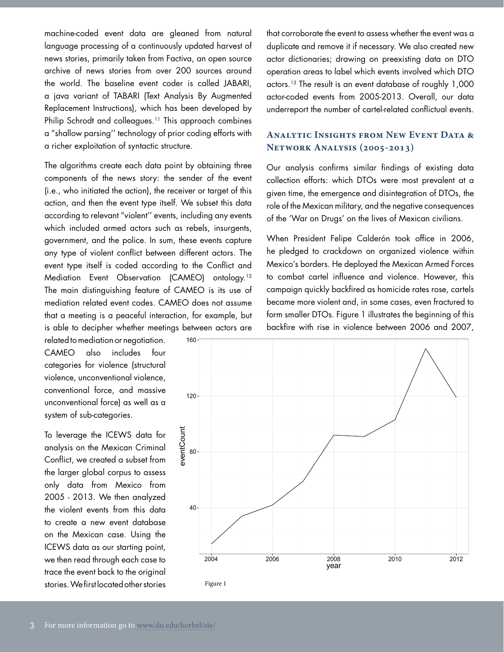machine-coded event data are gleaned from natural language processing of a continuously updated harvest of news stories, primarily taken from Factiva, an open source archive of news stories from over 200 sources around the world. The baseline event coder is called JABARI, a java variant of TABARI (Text Analysis By Augmented Replacement Instructions), which has been developed by Philip Schrodt and colleagues.<sup>11</sup> This approach combines a "shallow parsing'' technology of prior coding efforts with a richer exploitation of syntactic structure.

The algorithms create each data point by obtaining three components of the news story: the sender of the event (i.e., who initiated the action), the receiver or target of this action, and then the event type itself. We subset this data according to relevant "violent'' events, including any events which included armed actors such as rebels, insurgents, government, and the police. In sum, these events capture any type of violent conflict between different actors. The event type itself is coded according to the Conflict and Mediation Event Observation (CAMEO) ontology.12 The main distinguishing feature of CAMEO is its use of mediation related event codes. CAMEO does not assume that a meeting is a peaceful interaction, for example, but is able to decipher whether meetings between actors are

related to mediation or negotiation. CAMEO also includes four categories for violence (structural violence, unconventional violence, conventional force, and massive unconventional force) as well as a system of sub-categories.

To leverage the ICEWS data for analysis on the Mexican Criminal Conflict, we created a subset from the larger global corpus to assess only data from Mexico from 2005 - 2013. We then analyzed the violent events from this data to create a new event database on the Mexican case. Using the ICEWS data as our starting point, we then read through each case to trace the event back to the original stories. We first located other stories

that corroborate the event to assess whether the event was a duplicate and remove it if necessary. We also created new actor dictionaries; drawing on preexisting data on DTO operation areas to label which events involved which DTO actors.13 The result is an event database of roughly 1,000 actor-coded events from 2005-2013. Overall, our data underreport the number of cartel-related conflictual events.

### **Analytic Insights from New Event Data & Network Analysis (2005-2013)**

Our analysis confirms similar findings of existing data collection efforts: which DTOs were most prevalent at a given time, the emergence and disintegration of DTOs, the role of the Mexican military, and the negative consequences of the 'War on Drugs' on the lives of Mexican civilians.

When President Felipe Calderón took office in 2006, he pledged to crackdown on organized violence within Mexico's borders. He deployed the Mexican Armed Forces to combat cartel influence and violence. However, this campaign quickly backfired as homicide rates rose, cartels became more violent and, in some cases, even fractured to form smaller DTOs. Figure 1 illustrates the beginning of this backfire with rise in violence between 2006 and 2007,

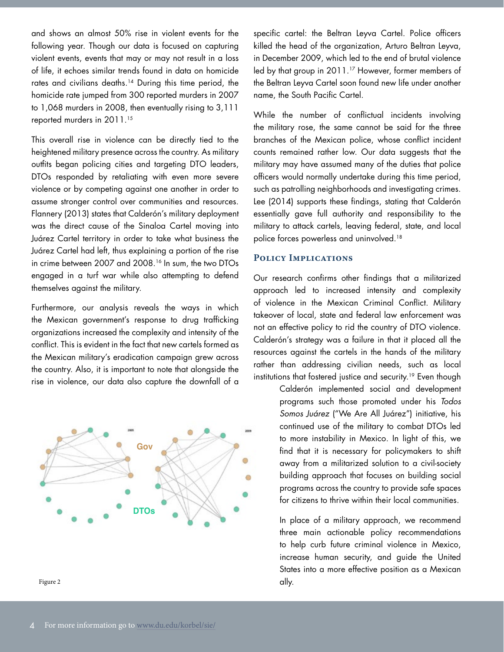and shows an almost 50% rise in violent events for the following year. Though our data is focused on capturing violent events, events that may or may not result in a loss of life, it echoes similar trends found in data on homicide rates and civilians deaths.<sup>14</sup> During this time period, the homicide rate jumped from 300 reported murders in 2007 to 1,068 murders in 2008, then eventually rising to 3,111 reported murders in 2011.<sup>15</sup>

This overall rise in violence can be directly tied to the heightened military presence across the country. As military outfits began policing cities and targeting DTO leaders, DTOs responded by retaliating with even more severe violence or by competing against one another in order to assume stronger control over communities and resources. Flannery (2013) states that Calderón's military deployment was the direct cause of the Sinaloa Cartel moving into Juárez Cartel territory in order to take what business the Juárez Cartel had left, thus explaining a portion of the rise in crime between 2007 and 2008.16 In sum, the two DTOs engaged in a turf war while also attempting to defend themselves against the military.

Furthermore, our analysis reveals the ways in which the Mexican government's response to drug trafficking organizations increased the complexity and intensity of the conflict. This is evident in the fact that new cartels formed as the Mexican military's eradication campaign grew across the country. Also, it is important to note that alongside the rise in violence, our data also capture the downfall of a



specific cartel: the Beltran Leyva Cartel. Police officers killed the head of the organization, Arturo Beltran Leyva, in December 2009, which led to the end of brutal violence led by that group in 2011.<sup>17</sup> However, former members of the Beltran Leyva Cartel soon found new life under another name, the South Pacific Cartel.

While the number of conflictual incidents involving the military rose, the same cannot be said for the three branches of the Mexican police, whose conflict incident counts remained rather low. Our data suggests that the military may have assumed many of the duties that police officers would normally undertake during this time period, such as patrolling neighborhoods and investigating crimes. Lee (2014) supports these findings, stating that Calderón essentially gave full authority and responsibility to the military to attack cartels, leaving federal, state, and local police forces powerless and uninvolved.18

#### **Policy Implications**

Our research confirms other findings that a militarized approach led to increased intensity and complexity of violence in the Mexican Criminal Conflict. Military takeover of local, state and federal law enforcement was not an effective policy to rid the country of DTO violence. Calderón's strategy was a failure in that it placed all the resources against the cartels in the hands of the military rather than addressing civilian needs, such as local institutions that fostered justice and security.<sup>19</sup> Even though

> Calderón implemented social and development programs such those promoted under his Todos Somos Juárez ("We Are All Juárez") initiative, his continued use of the military to combat DTOs led to more instability in Mexico. In light of this, we find that it is necessary for policymakers to shift away from a militarized solution to a civil-society building approach that focuses on building social programs across the country to provide safe spaces for citizens to thrive within their local communities.

> In place of a military approach, we recommend three main actionable policy recommendations to help curb future criminal violence in Mexico, increase human security, and guide the United States into a more effective position as a Mexican ally.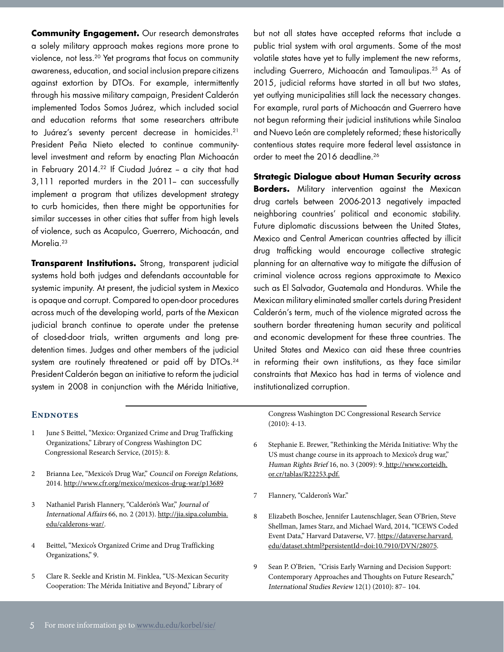**Community Engagement.** Our research demonstrates a solely military approach makes regions more prone to violence, not less.20 Yet programs that focus on community awareness, education, and social inclusion prepare citizens against extortion by DTOs. For example, intermittently through his massive military campaign, President Calderón implemented Todos Somos Juárez, which included social and education reforms that some researchers attribute to Juárez's seventy percent decrease in homicides.21 President Peña Nieto elected to continue communitylevel investment and reform by enacting Plan Michoacán in February 2014.<sup>22</sup> If Ciudad Juárez - a city that had 3,111 reported murders in the 2011- can successfully implement a program that utilizes development strategy to curb homicides, then there might be opportunities for similar successes in other cities that suffer from high levels of violence, such as Acapulco, Guerrero, Michoacán, and Morelia.<sup>23</sup>

**Transparent Institutions.** Strong, transparent judicial systems hold both judges and defendants accountable for systemic impunity. At present, the judicial system in Mexico is opaque and corrupt. Compared to open-door procedures across much of the developing world, parts of the Mexican judicial branch continue to operate under the pretense of closed-door trials, written arguments and long predetention times. Judges and other members of the judicial system are routinely threatened or paid off by DTOs.<sup>24</sup> President Calderón began an initiative to reform the judicial system in 2008 in conjunction with the Mérida Initiative, but not all states have accepted reforms that include a public trial system with oral arguments. Some of the most volatile states have yet to fully implement the new reforms, including Guerrero, Michoacán and Tamaulipas.25 As of 2015, judicial reforms have started in all but two states, yet outlying municipalities still lack the necessary changes. For example, rural parts of Michoacán and Guerrero have not begun reforming their judicial institutions while Sinaloa and Nuevo León are completely reformed; these historically contentious states require more federal level assistance in order to meet the 2016 deadline.<sup>26</sup>

**Strategic Dialogue about Human Security across Borders.** Military intervention against the Mexican drug cartels between 2006-2013 negatively impacted neighboring countries' political and economic stability. Future diplomatic discussions between the United States, Mexico and Central American countries affected by illicit drug trafficking would encourage collective strategic planning for an alternative way to mitigate the diffusion of criminal violence across regions approximate to Mexico such as El Salvador, Guatemala and Honduras. While the Mexican military eliminated smaller cartels during President Calderón's term, much of the violence migrated across the southern border threatening human security and political and economic development for these three countries. The United States and Mexico can aid these three countries in reforming their own institutions, as they face similar constraints that Mexico has had in terms of violence and institutionalized corruption.

#### ENDNOTES

- 1 June S Beittel, "Mexico: Organized Crime and Drug Trafficking Organizations," Library of Congress Washington DC Congressional Research Service, (2015): 8.
- 2 Brianna Lee, "Mexico's Drug War," Council on Foreign Relations, 2014. http://www.cfr.org/mexico/mexicos-drug-war/p13689
- 3 Nathaniel Parish Flannery, "Calderón's War," Journal of International Affairs 66, no. 2 (2013). http://jia.sipa.columbia. edu/calderons-war/.
- 4 Beittel, "Mexico's Organized Crime and Drug Trafficking Organizations," 9.
- 5 Clare R. Seekle and Kristin M. Finklea, "US-Mexican Security Cooperation: The Mérida Initiative and Beyond," Library of

Congress Washington DC Congressional Research Service (2010): 4-13.

- 6 Stephanie E. Brewer, "Rethinking the Mérida Initiative: Why the US must change course in its approach to Mexico's drug war," Human Rights Brief 16, no. 3 (2009): 9. http://www.corteidh. or.cr/tablas/R22253.pdf.
- 7 Flannery, "Calderon's War."
- 8 Elizabeth Boschee, Jennifer Lautenschlager, Sean O'Brien, Steve Shellman, James Starz, and Michael Ward, 2014, "ICEWS Coded Event Data," Harvard Dataverse, V7. https://dataverse.harvard. edu/dataset.xhtml?persistentId=doi:10.7910/DVN/28075.
- 9 Sean P. O'Brien, "Crisis Early Warning and Decision Support: Contemporary Approaches and Thoughts on Future Research," International Studies Review 12(1) (2010): 87– 104.